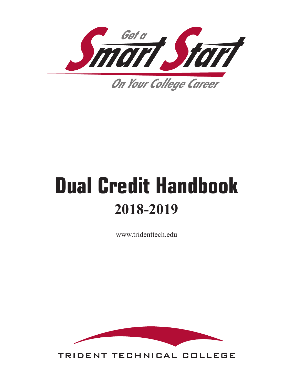

# **Dual Credit Handbook 2018-2019**

www.tridenttech.edu



TRIDENT TECHNICAL COLLEGE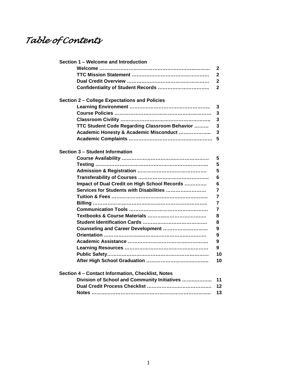# *Table of Contents*

| Section 1 - Welcome and Introduction              |                |
|---------------------------------------------------|----------------|
|                                                   | 2              |
|                                                   | 2              |
|                                                   | 2              |
|                                                   | $\mathbf{2}$   |
| Section 2 - College Expectations and Policies     |                |
|                                                   | 3              |
|                                                   | 3              |
|                                                   | 3              |
| TTC Student Code Regarding Classroom Behavior     | 3              |
|                                                   | 3              |
| Academic Honesty & Academic Misconduct            | 5              |
|                                                   |                |
| Section 3 - Student Information                   |                |
|                                                   | 5              |
|                                                   | 5              |
|                                                   | 5              |
|                                                   | 6              |
| Impact of Dual Credit on High School Records      | 6              |
| Services for Students with Disabilities           | 7              |
|                                                   | 7              |
|                                                   | $\overline{7}$ |
|                                                   | $\overline{7}$ |
|                                                   | 8              |
|                                                   |                |
|                                                   | 8              |
| Counseling and Career Development                 | 9              |
|                                                   | 9              |
|                                                   | 9              |
|                                                   | 9              |
|                                                   | 10             |
|                                                   | 10             |
| Section 4 - Contact Information, Checklist, Notes |                |
| Division of School and Community Initiatives      | 11             |
|                                                   | 12             |
|                                                   | 13             |
|                                                   |                |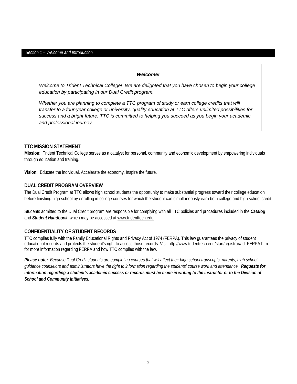#### *Section 1 – Welcome and Introduction*

#### *Welcome!*

*Welcome to Trident Technical College! We are delighted that you have chosen to begin your college education by participating in our Dual Credit program.*

*Whether you are planning to complete a TTC program of study or earn college credits that will transfer to a four-year college or university, quality education at TTC offers unlimited possibilities for success and a bright future. TTC is committed to helping you succeed as you begin your academic and professional journey.* 

#### **TTC MISSION STATEMENT**

**Mission:** Trident Technical College serves as a catalyst for personal, community and economic development by empowering individuals through education and training.

**Vision:** Educate the individual. Accelerate the economy. Inspire the future.

#### **DUAL CREDIT PROGRAM OVERVIEW**

The Dual Credit Program at TTC allows high school students the opportunity to make substantial progress toward their college education before finishing high school by enrolling in college courses for which the student can simultaneously earn both college and high school credit.

Students admitted to the Dual Credit program are responsible for complying with all TTC policies and procedures included in the *Catalog* and *Student Handbook*, which may be accessed at [www.tridenttech.edu.](http://www.tridenttech.edu/)

#### **CONFIDENTIALITY OF STUDENT RECORDS**

TTC complies fully with the Family Educational Rights and Privacy Act of 1974 (FERPA). This law guarantees the privacy of student educational records and protects the student's right to access those records. Visit http://www.tridenttech.edu/start/registrar/ad\_FERPA.htm for more information regarding FERPA and how TTC complies with the law.

*Please note: Because Dual Credit students are completing courses that will affect their high school transcripts, parents, high school guidance counselors and administrators have the right to information regarding the students' course work and attendance. Requests for information regarding a student's academic success or records must be made in writing to the instructor or to the Division of School and Community Initiatives.*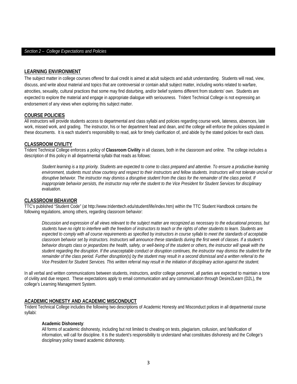#### *Section 2 – College Expectations and Policies*

#### **LEARNING ENVIRONMENT**

The subject matter in college courses offered for dual credit is aimed at adult subjects and adult understanding. Students will read, view, discuss, and write about material and topics that are controversial or contain adult subject matter, including works related to warfare, atrocities, sexuality, cultural practices that some may find disturbing, and/or belief systems different from students' own. Students are expected to explore the material and engage in appropriate dialogue with seriousness. Trident Technical College is not expressing an endorsement of any views when exploring this subject matter.

#### **COURSE POLICIES**

All instructors will provide students access to departmental and class syllabi and policies regarding course work, lateness, absences, late work, missed work, and grading. The instructor, his or her department head and dean, and the college will enforce the policies stipulated in these documents. It is each student's responsibility to read, ask for timely clarification of, and abide by the stated policies for each class.

#### **CLASSROOM CIVILITY**

Trident Technical College enforces a policy of **Classroom Civility** in all classes, both in the classroom and online. The college includes a description of this policy in all departmental syllabi that reads as follows:

*Student learning is a top priority. Students are expected to come to class prepared and attentive. To ensure a productive learning environment, students must show courtesy and respect to their instructors and fellow students. Instructors will not tolerate uncivil or*  disruptive behavior. The instructor may dismiss a disruptive student from the class for the remainder of the class period. If *inappropriate behavior persists, the instructor may refer the student to the Vice President for Student Services for disciplinary evaluation.*

#### **CLASSROOM BEHAVIOR**

TTC's published "Student Code" (at http://www.tridenttech.edu/student/life/index.htm) within the TTC Student Handbook contains the following regulations, among others, regarding classroom behavior:

*Discussion and expression of all views relevant to the subject matter are recognized as necessary to the educational process, but students have no right to interfere with the freedom of instructors to teach or the rights of other students to learn. Students are expected to comply with all course requirements as specified by instructors in course syllabi to meet the standards of acceptable classroom behavior set by instructors. Instructors will announce these standards during the first week of classes. If a student's behavior disrupts class or jeopardizes the health, safety, or well-being of the student or others, the instructor will speak with the student regarding the disruption. If the unacceptable conduct or disruption continues, the instructor may dismiss the student for the remainder of the class period. Further disruption(s) by the student may result in a second dismissal and a written referral to the Vice President for Student Services. This written referral may result in the initiation of disciplinary action against the student.*

In all verbal and written communications between students, instructors, and/or college personnel, all parties are expected to maintain a tone of civility and due respect. These expectations apply to email communication and any communication through Desire2Learn (D2L), the college's Learning Management System.

#### **ACADEMIC HONESTY AND ACADEMIC MISCONDUCT**

Trident Technical College includes the following two descriptions of Academic Honesty and Misconduct polices in all departmental course syllabi:

#### **Academic Dishonesty**:

All forms of academic dishonesty, including but not limited to cheating on tests, plagiarism, collusion, and falsification of information, will call for discipline. It is the student's responsibility to understand what constitutes dishonesty and the College's disciplinary policy toward academic dishonesty.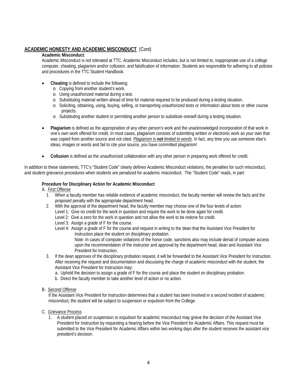#### **ACADEMIC HONESTY AND ACADEMIC MISCONDUCT** (Cont)

#### **Academic Misconduct**:

Academic Misconduct is not tolerated at TTC. Academic Misconduct includes, but is not limited to, inappropriate use of a college computer, cheating, plagiarism and/or collusion, and falsification of information. Students are responsible for adhering to all policies and procedures in the TTC Student Handbook.

- **Cheating** is defined to include the following:
	- o Copying from another student's work.
	- o Using unauthorized material during a test.
	- o Substituting material written ahead of time for material required to be produced during a testing situation.
	- o Soliciting, obtaining, using, buying, selling, or transporting unauthorized tests or information about tests or other course projects.
	- o Substituting another student or permitting another person to substitute oneself during a testing situation.
- **Plagiarism** is defined as the appropriation of any other person's work and the unacknowledged incorporation of that work in one's own work offered for credit. In most cases, plagiarism consists of submitting written or electronic work as your own that was copied from another source and not cited. *Plagiarism is not limited to words*. In fact, any time you use someone else's ideas, images or words and fail to cite your source, you have committed plagiarism!
- **Collusion** is defined as the unauthorized collaboration with any other person in preparing work offered for credit.

In addition to these statements, TTC's "Student Code" clearly defines Academic Misconduct violations, the penalties for such misconduct, and student grievance procedures when students are penalized for academic misconduct. The "Student Code" reads, in part:

#### **Procedure for Disciplinary Action for Academic Misconduct**

#### A. *First Offense*

- 1. When a faculty member has reliable evidence of academic misconduct, the faculty member will review the facts and the proposed penalty with the appropriate department head.
- 2. With the approval of the department head, the faculty member may choose one of the four levels of action:
	- Level 1: Give no credit for the work in question and require the work to be done again for credit.
	- Level 2: Give a zero for the work in question and not allow the work to be redone for credit.
	- Level 3: Assign a grade of F for the course.
	- Level 4: Assign a grade of F for the course and request in writing to the dean that the Assistant Vice President for Instruction place the student on disciplinary probation.

Note: In cases of computer violations of the honor code, sanctions also may include denial of computer access upon the recommendation of the instructor and approval by the department head, dean and Assistant Vice President for Instruction.

- 3. If the dean approves of the disciplinary probation request, it will be forwarded to the Assistant Vice President for Instruction. After receiving the request and documentation and discussing the charge of academic misconduct with the student, the Assistant Vice President for Instruction may:
	- a. Uphold the decision to assign a grade of F for the course and place the student on disciplinary probation.
	- b. Direct the faculty member to take another level of action or no action.
- B. *Second Offense*

If the Assistant Vice President for Instruction determines that a student has been involved in a second incident of academic misconduct, the student will be subject to suspension or expulsion from the College.

- C. *Grievance Process*
	- 1. A student placed on suspension or expulsion for academic misconduct may grieve the decision of the Assistant Vice President for Instruction by requesting a hearing before the Vice President for Academic Affairs. This request must be submitted to the Vice President for Academic Affairs within two working days after the student receives the assistant vice president's decision.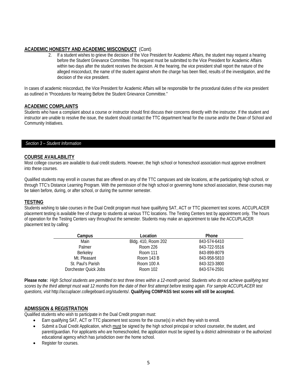#### **ACADEMIC HONESTY AND ACADEMIC MISCONDUCT** (Cont)

2. If a student wishes to grieve the decision of the Vice President for Academic Affairs, the student may request a hearing before the Student Grievance Committee. This request must be submitted to the Vice President for Academic Affairs within two days after the student receives the decision. At the hearing, the vice president shall report the nature of the alleged misconduct, the name of the student against whom the charge has been filed, results of the investigation, and the decision of the vice president.

In cases of academic misconduct, the Vice President for Academic Affairs will be responsible for the procedural duties of the vice president as outlined in "Procedures for Hearing Before the Student Grievance Committee."

#### **ACADEMIC COMPLAINTS**

Students who have a complaint about a course or instructor should first discuss their concerns directly with the instructor. If the student and instructor are unable to resolve the issue, the student should contact the TTC department head for the course and/or the Dean of School and Community Initiatives.

#### *Section 3 – Student Information*

#### **COURSE AVAILABILITY**

Most college courses are available to dual credit students. However, the high school or homeschool association must approve enrollment into these courses.

Qualified students may enroll in courses that are offered on any of the TTC campuses and site locations, at the participating high school, or through TTC's Distance Learning Program. With the permission of the high school or governing home school association, these courses may be taken before, during, or after school, or during the summer semester.

#### **TESTING**

Students wishing to take courses in the Dual Credit program must have qualifying SAT, ACT or TTC placement test scores. ACCUPLACER placement testing is available free of charge to students at various TTC locations. The Testing Centers test by appointment only. The hours of operation for the Testing Centers vary throughout the semester. Students may make an appointment to take the ACCUPLACER placement test by calling:

| Campus                | Location            | <b>Phone</b> |
|-----------------------|---------------------|--------------|
| Main                  | Bldg. 410, Room 202 | 843-574-6410 |
| Palmer                | Room 226            | 843-722-5516 |
| Berkeley              | Room 111            | 843-899-8079 |
| Mt. Pleasant          | Room 143 B          | 843-958-5810 |
| St. Paul's Parish     | Room 100 A          | 843-323-3800 |
| Dorchester Quick Jobs | Room 102            | 843-574-2591 |

**Please note:** *High School students are permitted to test three times within a 12-month period. Students who do not achieve qualifying test scores by the third attempt must wait 12 months from the date of their first attempt before testing again. For sample ACCUPLACER test questions, visit* http://accuplacer.collegeboard.org/students/. **Qualifying COMPASS test scores will still be accepted.**

#### **ADMISSION & REGISTRATION**

Qualified students who wish to participate in the Dual Credit program must:

- Earn qualifying SAT, ACT or TTC placement test scores for the course(s) in which they wish to enroll.
- Submit a Dual Credit Application, which must be signed by the high school principal or school counselor, the student, and parent/guardian. For applicants who are homeschooled, the application must be signed by a district administrator or the authorized educational agency which has jurisdiction over the home school.
- Register for courses.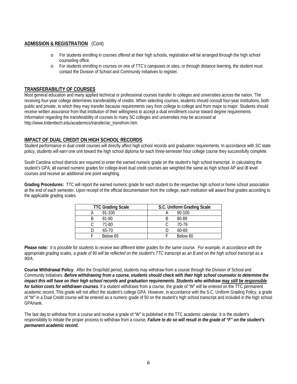#### **ADMISSION & REGISTRATION** (Cont)

- o For students enrolling in courses offered at their high schools, registration will be arranged through the high school counseling office.
- o For students enrolling in courses on one of TTC's campuses or sites, or through distance learning, the student must contact the Division of School and Community Initiatives to register.

#### **TRANSFERABILITY OF COURSES**

Most general education and many applied technical or professional courses transfer to colleges and universities across the nation. The receiving four-year college determines transferability of credits. When selecting courses, students should consult four-year institutions, both public and private, to which they may transfer because requirements vary from college to college and from major to major. Students should receive written assurance from that institution of their willingness to accept a dual enrollment course toward degree requirements. Information regarding the transferability of courses to many SC colleges and universities may be accessed at http://www.tridenttech.edu/academics/transfer/ac\_transfrom.htm.

#### **IMPACT OF DUAL CREDIT ON HIGH SCHOOL RECORDS**

Student performance in dual credit courses will directly affect high school records and graduation requirements. In accordance with SC state policy, students will earn one unit toward the high school diploma for each three-semester hour college course they successfully complete.

South Carolina school districts are required to enter the earned numeric grade on the student's high school transcript. In calculating the student's GPA, all earned numeric grades for college-level dual credit courses are weighted the same as high school AP and IB level courses and receive an additional one point weighting.

**Grading Procedures:** TTC will report the earned numeric grade for each student to the respective high school or home school association at the end of each semester. Upon receipt of the official documentation from the college, each institution will award final grades according to the applicable grading scales.

| <b>TTC Grading Scale</b> | S.C. Uniform Grading Scale |  |
|--------------------------|----------------------------|--|
| $91-100$                 | $90 - 100$                 |  |
| 81-90                    | 80-89                      |  |
| 71-80                    | 70-79                      |  |
| $65-70$                  | $60-69$                    |  |
| Below 65                 | Below 60                   |  |

**Please note:** *It is possible for students to receive two different letter grades for the same course. For example, in accordance with the appropriate grading scales, a grade of 90 will be reflected on the student's TTC transcript as an B and on the high school transcript as a 90/A.*

**Course Withdrawal Policy**: After the Drop/Add period, students may withdraw from a course through the Division of School and Community Initiatives. *Before withdrawing from a course, students should check with their high school counselor to determine the impact this will have on their high school records and graduation requirements. Students who withdraw may still be responsible for tuition costs for withdrawn courses.* If a student withdraws from a course, the grade of "W" will be entered on the TTC permanent academic record. This grade will not affect the student's college GPA. However, in accordance with the S.C. Uniform Grading Policy, a grade of "W" in a Dual Credit course will be entered as a numeric grade of 50 on the student's high school transcript and included in the high school GPA/rank.

The last day to withdraw from a course and receive a grade of "W" is published in the TTC academic calendar. It is the student's responsibility to initiate the proper process to withdraw from a course. *Failure to do so will result in the grade of "F" on the student's permanent academic record.*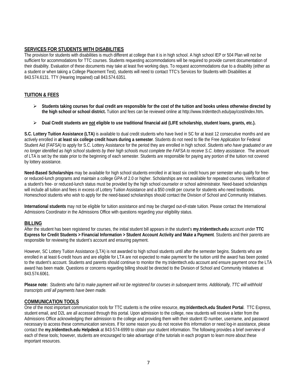#### **SERVICES FOR STUDENTS WITH DISABILITIES**

The provision for students with disabilities is much different at college than it is in high school. A high school IEP or 504 Plan will not be sufficient for accommodations for TTC courses. Students requesting accommodations will be required to provide current documentation of their disability. Evaluation of these documents may take at least five working days. To request accommodations due to a disability (either as a student or when taking a College Placement Test), students will need to contact TTC's Services for Students with Disabilities at 843.574.6131. TTY (Hearing Impaired) call 843.574.6351.

#### **TUITION & FEES**

- **Students taking courses for dual credit are responsible for the cost of the tuition and books unless otherwise directed by the high school or school district.** Tuition and fees can be reviewed online at http://www.tridenttech.edu/pay/cost/index.htm**.**
- **Dual Credit students are not eligible to use traditional financial aid (LIFE scholarship, student loans, grants, etc.).**

**S.C. Lottery Tuition Assistance (LTA)** is available to dual credit students who have lived in SC for at least 12 consecutive months and are actively enrolled in **at least six college credit hours during a semester**. Students do not need to file the Free Application for Federal Student Aid (FAFSA) to apply for S.C. Lottery Assistance for the period they are enrolled in high school. *Students who have graduated or are no longer identified as high school students by their high schools must complete the FAFSA to receive S.C. lottery assistance.* The amount of LTA is set by the state prior to the beginning of each semester. Students are responsible for paying any portion of the tuition not covered by lottery assistance.

**Need-Based Scholarships** may be available for high school students enrolled in at least six credit hours per semester who qualify for freeor reduced-lunch programs and maintain a college GPA of 2.0 or higher. Scholarships are not available for repeated courses. Verification of a student's free- or reduced-lunch status must be provided by the high school counselor or school administrator. Need-based scholarships will include all tuition and fees in excess of Lottery Tuition Assistance and a \$50 credit per course for students who need textbooks. Homeschool students who wish to apply for the need-based scholarships should contact the Division of School and Community Initiatives.

**International students** may not be eligible for tuition assistance and may be charged out-of-state tuition. Please contact the International Admissions Coordinator in the Admissions Office with questions regarding your eligibility status.

#### **BILLING**

After the student has been registered for courses, the initial student bill appears in the student's **my.tridenttech.edu** account under **TTC Express for Credit Students > Financial Information > Student Account Activity and Make a Payment**. Students and their parents are responsible for reviewing the student's account and ensuring payment.

However, SC Lottery Tuition Assistance (LTA) is not awarded to high school students until after the semester begins. Students who are enrolled in at least 6-credit hours and are eligible for LTA are not expected to make payment for the tuition until the award has been posted to the student's account. Students and parents should continue to monitor the my.tridenttech.edu account and ensure payment once the LTA award has been made. Questions or concerns regarding billing should be directed to the Division of School and Community Initiatives at 843.574.6061.

**Please note:** *Students who fail to make payment will not be registered for courses in subsequent terms. Additionally, TTC will withhold transcripts until all payments have been made.*

#### **COMMUNICATION TOOLS**

One of the most important communication tools for TTC students is the online resource, **my.tridenttech.edu Student Portal**. TTC Express, student email, and D2L are all accessed through this portal. Upon admission to the college, new students will receive a letter from the Admissions Office acknowledging their admission to the college and providing them with their student ID number, username, and password necessary to access these communication services. If for some reason you do not receive this information or need log-in assistance, please contact the **my.tridenttech.edu Helpdesk** at 843-574-6999 to obtain your student information. The following provides a brief overview of each of these tools; however, students are encouraged to take advantage of the tutorials in each program to learn more about these important resources.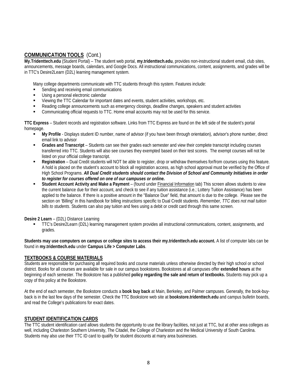#### **COMMUNICATION TOOLS** (Cont.)

**[My.Tridenttech.](http://www.tridenttech.edu/5657.htm)edu** (Student Portal) – The student web portal, **my.tridenttech.edu**, provides non-instructional student email, club sites, announcements, message boards, calendars, and Google Docs. All instructional communications, content, assignments, and grades will be in TTC's Desire2Learn (D2L) learning management system.

Many college departments communicate with TTC students through this system. Features include:

- Sending and receiving email communications
- Using a personal electronic calendar
- Viewing the TTC Calendar for important dates and events, student activities, workshops, etc.
- Reading college announcements such as emergency closings, deadline changes, speakers and student activities
- Communicating official requests to TTC. Home email accounts may not be used for this service.

**TTC Express** – Student records and registration software. Links from TTC Express are found on the left side of the student's portal homepage.

- **My Profile** Displays student ID number, name of advisor (if you have been through orientation), advisor's phone number, direct email link to advisor
- **Grades and Transcript** Students can see their grades each semester and view their complete transcript including courses transferred into TTC. Students will also see courses they exempted based on their test scores. The exempt courses will not be listed on your official college transcript.
- **Registration** Dual Credit students will NOT be able to register, drop or withdraw themselves for/from courses using this feature. A hold is placed on the student's account to block all registration access, as high school approval must be verified by the Office of High School Programs. *All Dual Credit students should contact the Division of School and Community Initiatives in order to register for courses offered on one of our campuses or online.*
- **Student Account Activity and Make a Payment** (found under Financial Information tab) This screen allows students to view the current balance due for their account, and check to see if any tuition assistance (i.e.; Lottery Tuition Assistance) has been applied to the balance. If there is a positive amount in the "Balance Due" field, that amount is due to the college. Please see the section on 'Billing" in this handbook for billing instructions specific to Dual Credit students. *Remember, TTC does not mail tuition bills to students*. Students can also pay tuition and fees using a debit or credit card through this same screen.

#### **Desire 2 Learn** – (D2L) Distance Learning

 TTC's Desire2Learn (D2L) learning management system provides all instructional communications, content, assignments, and grades.

**Students may use computers on campus or college sites to access their my.tridenttech.edu account.** A list of computer labs can be found in **my.tridenttech.edu** under **Campus Life > Computer Labs**.

#### **TEXTBOOKS & COURSE MATERIALS**

Students are responsible for purchasing all required books and course materials unless otherwise directed by their high school or school district. Books for all courses are available for sale in our campus bookstores. Bookstores at all campuses offer **extended hours** at the beginning of each semester. The Bookstore has a published **policy regarding the sale and return of textbooks.** Students may pick up a copy of this policy at the Bookstore.

At the end of each semester, the Bookstore conducts a **book buy back** at Main, Berkeley, and Palmer campuses. Generally, the book-buyback is in the last few days of the semester. Check the TTC Bookstore web site at **bookstore.tridenttech.edu** and campus bulletin boards, and read the College's publications for exact dates.

#### **STUDENT IDENTIFICATION CARDS**

The TTC student identification card allows students the opportunity to use the library facilities, not just at TTC, but at other area colleges as well, including Charleston Southern University, The Citadel, the College of Charleston and the Medical University of South Carolina. Students may also use their TTC ID card to qualify for student discounts at many area businesses.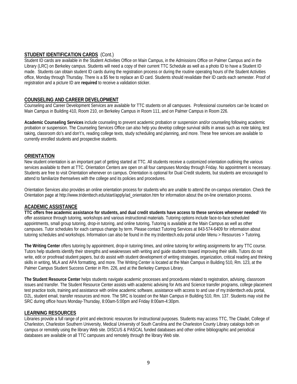#### **STUDENT IDENTIFICATION CARDS** (Cont.)

Student ID cards are available in the Student Activities Office on Main Campus, in the Admissions Office on Palmer Campus and in the Library (LRC) on Berkeley campus. Students will need a copy of their current TTC Schedule as well as a photo ID to have a Student ID made. Students can obtain student ID cards during the registration process or during the routine operating hours of the Student Activities office, Monday through Thursday. There is a \$5 fee to replace an ID card. Students should revalidate their ID cards each semester. Proof of registration and a picture ID are **required** to receive a validation sticker.

#### **COUNSELING AND CAREER DEVELOPMENT**

Counseling and Career Development Services are available for TTC students on all campuses. Professional counselors can be located on Main Campus in Building 410, Room 210, on Berkeley Campus in Room 111, and on Palmer Campus in Room 226.

**Academic Counseling Services** include counseling to prevent academic probation or suspension and/or counseling following academic probation or suspension. The Counseling Services Office can also help you develop college survival skills in areas such as note taking, test taking, classroom do's and don't's, reading college texts, study scheduling and planning, and more. These free services are available to currently enrolled students and prospective students.

#### **ORIENTATION**

New student orientation is an important part of getting started at TTC. All students receive a customized orientation outlining the various services available to them at TTC. Orientation Centers are open on all four campuses Monday through Friday. No appointment is necessary. Students are free to visit Orientation whenever on campus. Orientation is optional for Dual Credit students, but students are encouraged to attend to familiarize themselves with the college and its policies and procedures.

Orientation Services also provides an online orientation process for students who are unable to attend the on-campus orientation. Check the Orientation page at http://www.tridenttech.edu/start/apply/ad\_orientation.htm for information about the on-line orientation process.

#### **ACADEMIC ASSISTANCE**

**TTC offers free academic assistance for students, and dual credit students have access to these services whenever needed!** We offer assistance through tutoring, workshops and various instructional materials. Tutoring options include face-to-face scheduled appointments, small group tutoring, drop-in tutoring, and online tutoring**.** Tutoring is available at the Main Campus as well as other campuses. Tutor schedules for each campus change by term. Please contact Tutoring Services at 843-574-6409 for information about tutoring schedules and workshops. Information can also be found in the my.tridenttech.edu portal under Menu > Resources > Tutoring.

**The Writing Center** offers tutoring by appointment, drop-in tutoring times, and online tutoring for writing assignments for any TTC course. Tutors help students identify their strengths and weaknesses with writing and guide students toward improving their skills. Tutors do not write, edit or proofread student papers, but do assist with student development of writing strategies, organization, critical reading and thinking skills in writing, MLA and APA formatting, and more. The Writing Center is located at the Main Campus in Building 510, Rm. 123, at the Palmer Campus Student Success Center in Rm. 226, and at the Berkeley Campus Library.

**The Student Resource Center** helps students navigate academic processes and procedures related to registration, advising, classroom issues and transfer. The Student Resource Center assists with academic advising for Arts and Science transfer programs, college placement test practice tools, training and assistance with online academic software, assistance with access to and use of my.tridenttech.edu portal, D2L, student email, transfer resources and more. The SRC is located on the Main Campus in Building 510, Rm. 137. Students may visit the SRC during office hours Monday-Thursday, 8:00am-5:00pm and Friday 8:00am-4:30pm.

#### **LEARNING RESOURCES**

Libraries provide a full range of print and electronic resources for instructional purposes. Students may access TTC, The Citadel, College of Charleston, Charleston Southern University, Medical University of South Carolina and the Charleston County Library catalogs both on campus or remotely using the library Web site. DISCUS & PASCAL funded databases and other online bibliographic and periodical databases are available on all TTC campuses and remotely through the library Web site.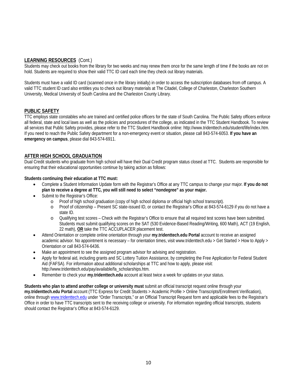#### **LEARNING RESOURCES** (Cont.)

Students may check out books from the library for two weeks and may renew them once for the same length of time if the books are not on hold. Students are required to show their valid TTC ID card each time they check out library materials.

Students must have a valid ID card (scanned once in the library initially) in order to access the subscription databases from off campus. A valid TTC student ID card also entitles you to check out library materials at The Citadel, College of Charleston, Charleston Southern University, Medical University of South Carolina and the Charleston County Library.

#### **PUBLIC SAFETY**

TTC employs state constables who are trained and certified police officers for the state of South Carolina. The Public Safety officers enforce all federal, state and local laws as well as the policies and procedures of the college, as indicated in the TTC Student Handbook. To review all services that Public Safety provides, please refer to the TTC Student Handbook online: http://www.tridenttech.edu/student/life/index.htm. If you need to reach the Public Safety department for a non-emergency event or situation, please call 843-574-6053. **If you have an emergency on campus**, please dial 843-574-6911.

#### **AFTER HIGH SCHOOL GRADUATION**

Dual Credit students who graduate from high school will have their Dual Credit program status closed at TTC. Students are responsible for ensuring that their educational opportunities continue by taking action as follows:

#### **Students continuing their education at TTC must:**

- Complete a Student Information Update form with the Registrar's Office at any TTC campus to change your major. **If you do not plan to receive a degree at TTC, you will still need to select "nondegree" as your major.**
- Submit to the Registrar's Office:
	- o Proof of high school graduation (copy of high school diploma or official high school transcript).
	- Proof of citizenship Present SC state-issued ID, or contact the Registrar's Office at 843-574-6129 if you do not have a state ID.
	- o Qualifying test scores Check with the Registrar's Office to ensure that all required test scores have been submitted. Students must submit qualifying scores on the SAT (530 Evidence-Based Reading/Writing, 600 Math), ACT (19 English, 22 math), **OR** take the TTC ACCUPLACER placement test.
- Attend Orientation or complete online orientation through your **my.tridenttech.edu Portal** account to receive an assigned academic advisor. No appointment is necessary – for orientation times, visit www.tridenttech.edu > Get Started > How to Apply > Orientation or call 843-574-6436.
- Make an appointment to see the assigned program advisor for advising and registration.
- Apply for federal aid, including grants and SC Lottery Tuition Assistance, by completing the Free Application for Federal Student Aid (FAFSA). For information about additional scholarships at TTC and how to apply, please visit: http://www.tridenttech.edu/pay/available/fa\_scholarships.htm.
- Remember to check your **my.tridenttech.edu** account at least twice a week for updates on your status.

**Students who plan to attend another college or university must** submit an official transcript request online through your **my.tridenttech.edu Portal** account (TTC Express for Credit Students > Academic Profile > Online Transcripts/Enrollment Verification), online throug[h www.tridenttech.edu](http://www.tridenttech.edu/) under "Order Transcripts," or an Official Transcript Request form and applicable fees to the Registrar's Office in order to have TTC transcripts sent to the receiving college or university. For information regarding official transcripts, students should contact the Registrar's Office at 843-574-6129.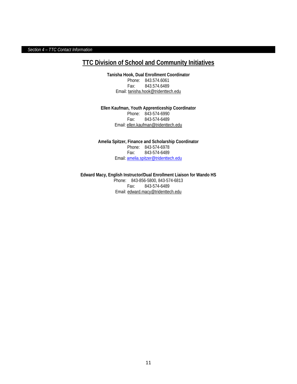*Section 4 – TTC Contact Information*

## **TTC Division of School and Community Initiatives**

**Tanisha Hook, Dual Enrollment Coordinator** Phone: 843.574.6061 Fax: 843.574.6489 Email: [tanisha.hook@tridenttech.edu](mailto:tanisha.hook@tridenttech.edu)

**Ellen Kaufman, Youth Apprenticeship Coordinator** Phone: 843-574-6990 Fax: 843-574-6489 Email[: ellen.kaufman@tridenttech.edu](mailto:ellen.kaufman@tridenttech.edu)

**Amelia Spitzer, Finance and Scholarship Coordinator** Phone: 843-574-6978<br>Fax: 843-574-6489 Fax: 843-574-6489 Email: [amelia.spitzer@tridenttech.edu](mailto:amelia.spitzer@tridenttech.edu)

**Edward Macy, English Instructor/Dual Enrollment Liaison for Wando HS** Phone: 843-856-5800, 843-574-6813 Fax: 843-574-6489 Email: [edward.macy@tridenttech.edu](mailto:edward.macy@tridenttech.edu)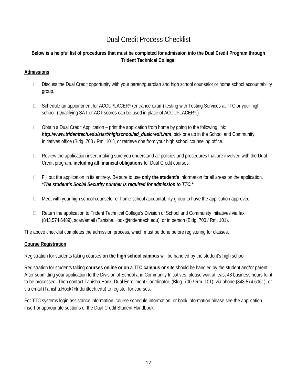# Dual Credit Process Checklist

### **Below is a helpful list of procedures that must be completed for admission into the Dual Credit Program through Trident Technical College:**

#### **Admissions**

- $\Box$  Discuss the Dual Credit opportunity with your parent/guardian and high school counselor or home school accountability group.
- $\Box$  Schedule an appointment for ACCUPLACER<sup>®</sup> (entrance exam) testing with Testing Services at TTC or your high school. (Qualifying SAT or ACT scores can be used in place of ACCUPLACER®.)
- $\Box$  Obtain a Dual Credit Application print the application from home by going to the following link: *http://www.tridenttech.edu/start/highschool/ad\_dualcredit.htm*, pick one up in the School and Community Initiatives office (Bldg. 700 / Rm. 101), or retrieve one from your high school counseling office.
- $\Box$  Review the application insert making sure you understand all policies and procedures that are involved with the Dual Credit program, **including all financial obligations** for Dual Credit courses.
- Fill out the application in its entirety. Be sure to use **only the student's** information for all areas on the application. *\*The student's Social Security number is required for admission to TTC.\**
- $\Box$  Meet with your high school counselor or home school accountability group to have the application approved.
- □ Return the application to Trident Technical College's Division of School and Community Initiatives via fax (843.574.6489), scan/email (Tanisha.Hook@tridenttech.edu), or in person (Bldg. 700 / Rm. 101).

The above checklist completes the admission process, which must be done before registering for classes.

#### **Course Registration**

Registration for students taking courses **on the high school campus** will be handled by the student's high school.

Registration for students taking **courses online or on a TTC campus or site** should be handled by the student and/or parent. After submitting your application to the Division of School and Community Initiatives, please wait at least 48 business hours for it to be processed. Then contact Tanisha Hook, Dual Enrollment Coordinator, (Bldg. 700 / Rm. 101), via phone (843.574.6061), or via email (Tanisha.Hook@tridenttech.edu) to register for courses.

For TTC systems login assistance information, course schedule information, or book information please see the application insert or appropriate sections of the Dual Credit Student Handbook.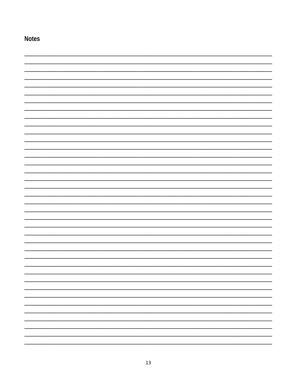| <b>Notes</b> |   |
|--------------|---|
|              |   |
|              |   |
|              |   |
|              |   |
|              |   |
|              |   |
|              |   |
|              |   |
|              |   |
|              |   |
|              |   |
|              |   |
|              |   |
|              |   |
|              |   |
|              |   |
|              |   |
|              |   |
|              |   |
|              |   |
|              |   |
|              |   |
|              |   |
|              |   |
|              |   |
|              |   |
|              |   |
|              |   |
|              |   |
|              | ۰ |
|              | ۰ |
|              | - |
|              |   |
|              | - |
|              | - |
|              |   |
|              |   |
|              |   |